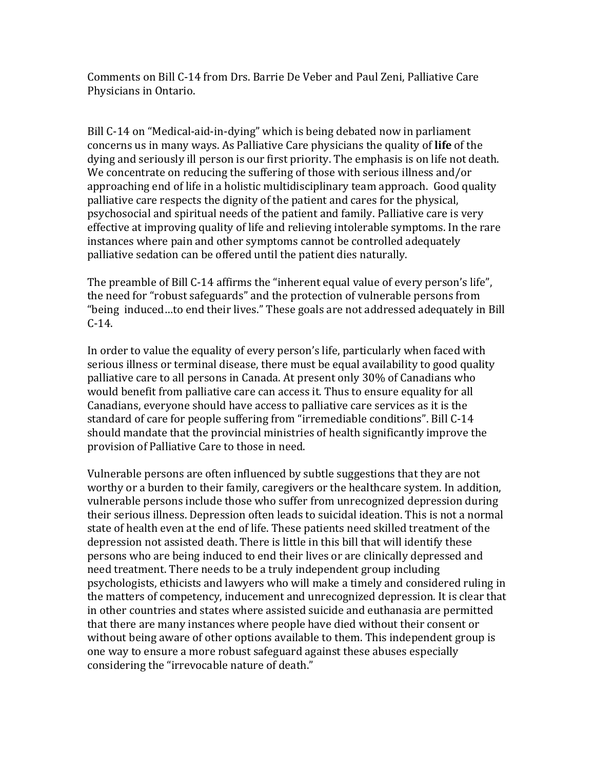Comments on Bill C-14 from Drs. Barrie De Veber and Paul Zeni, Palliative Care Physicians in Ontario.

Bill C-14 on "Medical-aid-in-dying" which is being debated now in parliament concerns us in many ways. As Palliative Care physicians the quality of **life** of the dying and seriously ill person is our first priority. The emphasis is on life not death. We concentrate on reducing the suffering of those with serious illness and/or approaching end of life in a holistic multidisciplinary team approach. Good quality palliative care respects the dignity of the patient and cares for the physical, psychosocial and spiritual needs of the patient and family. Palliative care is very effective at improving quality of life and relieving intolerable symptoms. In the rare instances where pain and other symptoms cannot be controlled adequately palliative sedation can be offered until the patient dies naturally.

The preamble of Bill C-14 affirms the "inherent equal value of every person's life", the need for "robust safeguards" and the protection of vulnerable persons from "being induced...to end their lives." These goals are not addressed adequately in Bill  $C-14$ .

In order to value the equality of every person's life, particularly when faced with serious illness or terminal disease, there must be equal availability to good quality palliative care to all persons in Canada. At present only 30% of Canadians who would benefit from palliative care can access it. Thus to ensure equality for all Canadians, everyone should have access to palliative care services as it is the standard of care for people suffering from "irremediable conditions". Bill C-14 should mandate that the provincial ministries of health significantly improve the provision of Palliative Care to those in need.

Vulnerable persons are often influenced by subtle suggestions that they are not worthy or a burden to their family, caregivers or the healthcare system. In addition, vulnerable persons include those who suffer from unrecognized depression during their serious illness. Depression often leads to suicidal ideation. This is not a normal state of health even at the end of life. These patients need skilled treatment of the depression not assisted death. There is little in this bill that will identify these persons who are being induced to end their lives or are clinically depressed and need treatment. There needs to be a truly independent group including psychologists, ethicists and lawyers who will make a timely and considered ruling in the matters of competency, inducement and unrecognized depression. It is clear that in other countries and states where assisted suicide and euthanasia are permitted that there are many instances where people have died without their consent or without being aware of other options available to them. This independent group is one way to ensure a more robust safeguard against these abuses especially considering the "irrevocable nature of death."